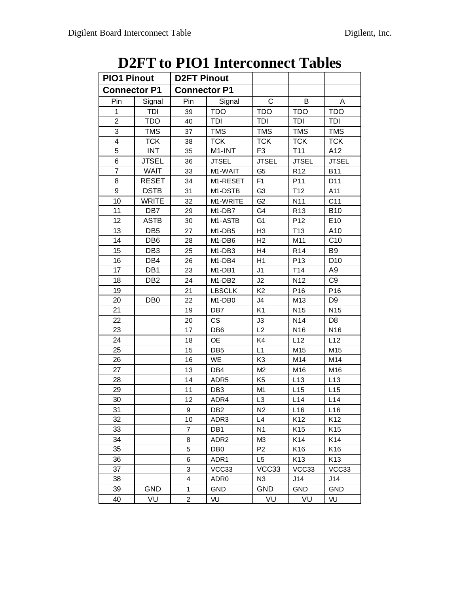## **D2FT to PIO1 Interconnect Tables**

| <b>PIO1 Pinout</b>  |                 | <b>D2FT Pinout</b>  |                                 |                |                 |                 |
|---------------------|-----------------|---------------------|---------------------------------|----------------|-----------------|-----------------|
| <b>Connector P1</b> |                 | <b>Connector P1</b> |                                 |                |                 |                 |
| Pin                 | Signal          | Pin                 | Signal                          | $\mathsf{C}$   | В               | A               |
| 1                   | <b>TDI</b>      | 39                  | <b>TDO</b>                      | <b>TDO</b>     | <b>TDO</b>      | <b>TDO</b>      |
| $\overline{2}$      | <b>TDO</b>      | 40                  | <b>TDI</b>                      | <b>TDI</b>     | TDI             | <b>TDI</b>      |
| 3                   | <b>TMS</b>      | 37                  | <b>TMS</b>                      | <b>TMS</b>     | <b>TMS</b>      | <b>TMS</b>      |
| 4                   | <b>TCK</b>      | 38                  | <b>TCK</b>                      | <b>TCK</b>     | <b>TCK</b>      | <b>TCK</b>      |
| 5                   | <b>INT</b>      | 35                  | M1-INT                          | F <sub>3</sub> | T <sub>11</sub> | A12             |
| 6                   | <b>JTSEL</b>    | 36                  | <b>JTSEL</b>                    | <b>JTSEL</b>   | <b>JTSEL</b>    | <b>JTSEL</b>    |
| $\overline{7}$      | <b>WAIT</b>     | 33                  | M1-WAIT                         | G <sub>5</sub> | R <sub>12</sub> | <b>B11</b>      |
| 8                   | <b>RESET</b>    | 34                  | M1-RESET                        | F <sub>1</sub> | P11             | D11             |
| 9                   | <b>DSTB</b>     | 31                  | M1-DSTB                         | G <sub>3</sub> | T12             | A11             |
| 10                  | <b>WRITE</b>    | 32                  | M1-WRITE                        | G <sub>2</sub> | N11             | C11             |
| 11                  | DB7             | 29                  | M1-DB7                          | G4             | R <sub>13</sub> | <b>B10</b>      |
| 12                  | <b>ASTB</b>     | 30                  | M1-ASTB                         | G <sub>1</sub> | P <sub>12</sub> | E10             |
| 13                  | DB <sub>5</sub> | 27                  | M1-DB5                          | H <sub>3</sub> | T <sub>13</sub> | A10             |
| 14                  | DB <sub>6</sub> | 28                  | M1-DB6                          | H <sub>2</sub> | M11             | C <sub>10</sub> |
| 15                  | DB <sub>3</sub> | 25                  | M <sub>1</sub> -DB <sub>3</sub> | H <sub>4</sub> | R <sub>14</sub> | B <sub>9</sub>  |
| 16                  | DB4             | 26                  | M1-DB4                          | H1             | P <sub>13</sub> | D <sub>10</sub> |
| 17                  | DB1             | 23                  | M1-DB1                          | J1             | T14             | A9              |
| 18                  | DB <sub>2</sub> | 24                  | M1-DB2                          | J2             | N <sub>12</sub> | C <sub>9</sub>  |
| 19                  |                 | 21                  | <b>LBSCLK</b>                   | K <sub>2</sub> | P <sub>16</sub> | P <sub>16</sub> |
| 20                  | DB <sub>0</sub> | 22                  | M <sub>1</sub> -DB <sub>0</sub> | J4             | M <sub>13</sub> | D <sub>9</sub>  |
| 21                  |                 | 19                  | DB7                             | K <sub>1</sub> | N <sub>15</sub> | N <sub>15</sub> |
| 22                  |                 | 20                  | <b>CS</b>                       | J3             | N14             | D <sub>8</sub>  |
| 23                  |                 | 17                  | DB <sub>6</sub>                 | L2             | N <sub>16</sub> | N <sub>16</sub> |
| 24                  |                 | 18                  | <b>OE</b>                       | K4             | L12             | L12             |
| 25                  |                 | 15                  | DB <sub>5</sub>                 | L1             | M15             | M15             |
| 26                  |                 | 16                  | WE                              | K <sub>3</sub> | M14             | M14             |
| 27                  |                 | 13                  | DB4                             | M2             | M16             | M16             |
| 28                  |                 | 14                  | ADR <sub>5</sub>                | K <sub>5</sub> | L13             | L13             |
| 29                  |                 | 11                  | DB <sub>3</sub>                 | M1             | L15             | L15             |
| 30                  |                 | 12                  | ADR4                            | L <sub>3</sub> | L14             | L14             |
| 31                  |                 | 9                   | DB <sub>2</sub>                 | N <sub>2</sub> | L16             | L16             |
| 32                  |                 | 10                  | ADR3                            | L4             | K12             | K12             |
| 33                  |                 | $\overline{7}$      | DB <sub>1</sub>                 | N <sub>1</sub> | K15             | K <sub>15</sub> |
| 34                  |                 | 8                   | ADR <sub>2</sub>                | M3             | K14             | K14             |
| 35                  |                 | 5                   | DB <sub>0</sub>                 | P <sub>2</sub> | K16             | K16             |
| 36                  |                 | 6                   | ADR1                            | L5             | K13             | K <sub>13</sub> |
| 37                  |                 | 3                   | VCC33                           | VCC33          | VCC33           | VCC33           |
| 38                  |                 | 4                   | ADR <sub>0</sub>                | N <sub>3</sub> | J14             | J14             |
| 39                  | <b>GND</b>      | 1                   | <b>GND</b>                      | <b>GND</b>     | GND             | <b>GND</b>      |
| 40                  | VU              | $\overline{c}$      | VU                              | VU             | VU              | VU              |